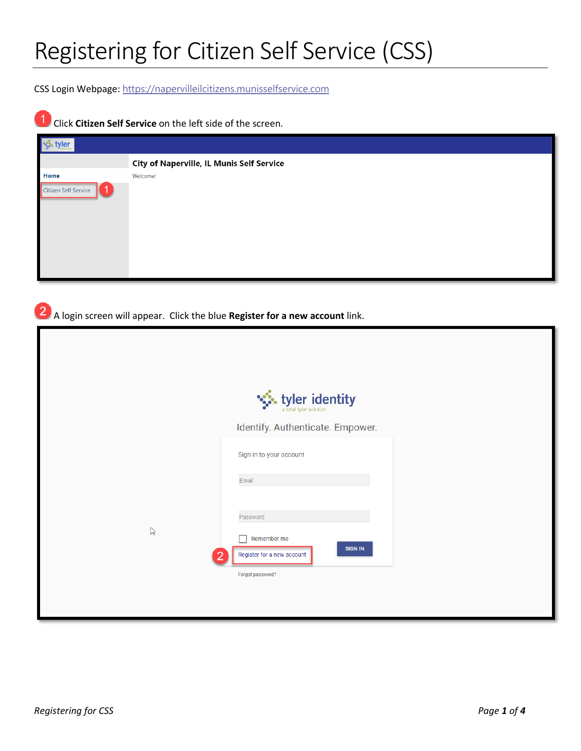CSS Login Webpage: [https://napervilleilcitizens.munisselfservice.com](https://napervilleilcitizens.munisselfservice.com/)

## 1 Click **Citizen Self Service** on the left side of the screen.

| vler                 |                                                  |
|----------------------|--------------------------------------------------|
|                      | <b>City of Naperville, IL Munis Self Service</b> |
| Home                 | Welcome!                                         |
| Citizen Self Service |                                                  |

A login screen will appear. Click the blue **Register for a new account** link.

|              | tyler identity                                              |
|--------------|-------------------------------------------------------------|
|              | Identify. Authenticate. Empower.                            |
|              | Sign in to your account                                     |
|              | Email                                                       |
|              | Password                                                    |
| $\mathbb{P}$ | Remember me<br><b>SIGN IN</b><br>Register for a new account |
|              | Forgot password?                                            |
|              |                                                             |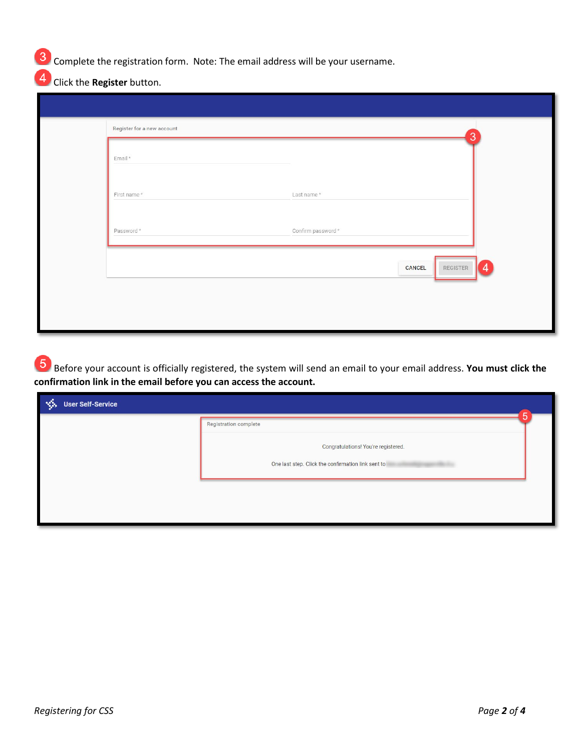**3** Complete the registration form. Note: The email address will be your username.

Click the **Register** button.

| Register for a new account |                      | $\overline{3}$ |
|----------------------------|----------------------|----------------|
| Email*                     |                      |                |
| First name*                | Last name*           |                |
| Password *                 | Confirm password $*$ |                |
|                            | CANCEL               | REGISTER<br>4  |
|                            |                      |                |
|                            |                      |                |

Before your account is officially registered, the system will send an email to your email address. **You must click the confirmation link in the email before you can access the account.** 

| 一家<br><b>User Self-Service</b> | 5                                                  |  |
|--------------------------------|----------------------------------------------------|--|
|                                | <b>Registration complete</b>                       |  |
|                                | Congratulations! You're registered.                |  |
|                                | One last step. Click the confirmation link sent to |  |
|                                |                                                    |  |
|                                |                                                    |  |
|                                |                                                    |  |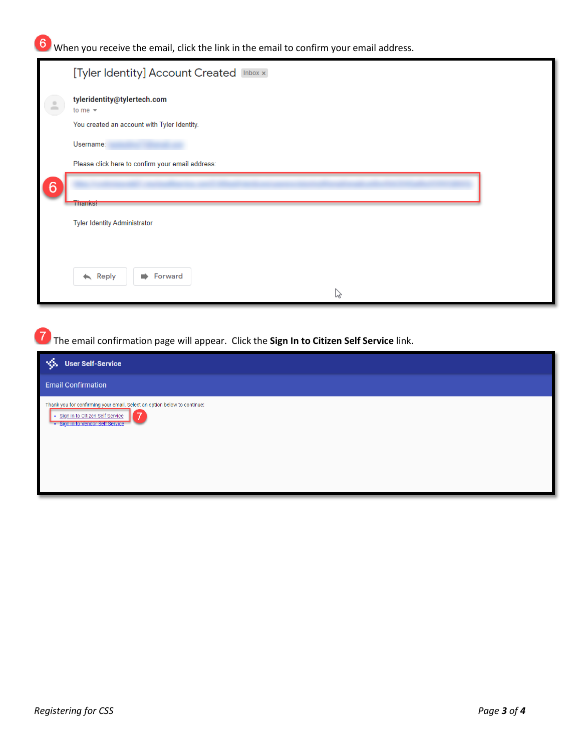When you receive the email, click the link in the email to confirm your email address.

|               | [Tyler Identity] Account Created [Inbox x]       |
|---------------|--------------------------------------------------|
| $\frac{1}{2}$ | tyleridentity@tylertech.com<br>to me $\sim$      |
|               | You created an account with Tyler Identity.      |
|               | Username:                                        |
|               | Please click here to confirm your email address: |
| 6             |                                                  |
|               | <b>THEIRS!</b>                                   |
|               | <b>Tyler Identity Administrator</b>              |
|               |                                                  |
|               |                                                  |
|               | $\leftarrow$ Reply<br>Forward<br>∙               |
|               | ピ                                                |

The email confirmation page will appear. Click the **Sign In to Citizen Self Service** link.

| 一条<br><b>User Self-Service</b>                                                                                                                    |  |
|---------------------------------------------------------------------------------------------------------------------------------------------------|--|
| <b>Email Confirmation</b>                                                                                                                         |  |
| Thank you for confirming your email. Select an option below to continue:<br>· Sign in to Citizen Self Service<br>· Sign in to Vendor Self Service |  |